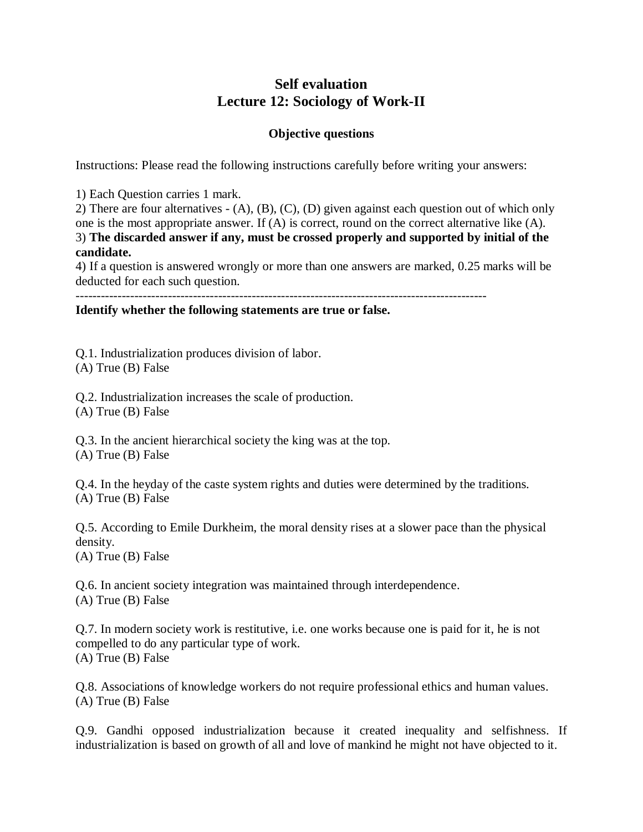## **Self evaluation Lecture 12: Sociology of Work-II**

## **Objective questions**

Instructions: Please read the following instructions carefully before writing your answers:

1) Each Question carries 1 mark.

2) There are four alternatives - (A), (B), (C), (D) given against each question out of which only one is the most appropriate answer. If (A) is correct, round on the correct alternative like (A). 3) **The discarded answer if any, must be crossed properly and supported by initial of the candidate.**

4) If a question is answered wrongly or more than one answers are marked, 0.25 marks will be deducted for each such question.

--------------------------------------------------------------------------------------------------

**Identify whether the following statements are true or false.** 

Q.1. Industrialization produces division of labor. (A) True (B) False

Q.2. Industrialization increases the scale of production. (A) True (B) False

Q.3. In the ancient hierarchical society the king was at the top. (A) True (B) False

Q.4. In the heyday of the caste system rights and duties were determined by the traditions. (A) True (B) False

Q.5. According to Emile Durkheim, the moral density rises at a slower pace than the physical density.

(A) True (B) False

Q.6. In ancient society integration was maintained through interdependence. (A) True (B) False

Q.7. In modern society work is restitutive, i.e. one works because one is paid for it, he is not compelled to do any particular type of work. (A) True (B) False

Q.8. Associations of knowledge workers do not require professional ethics and human values. (A) True (B) False

Q.9. Gandhi opposed industrialization because it created inequality and selfishness. If industrialization is based on growth of all and love of mankind he might not have objected to it.